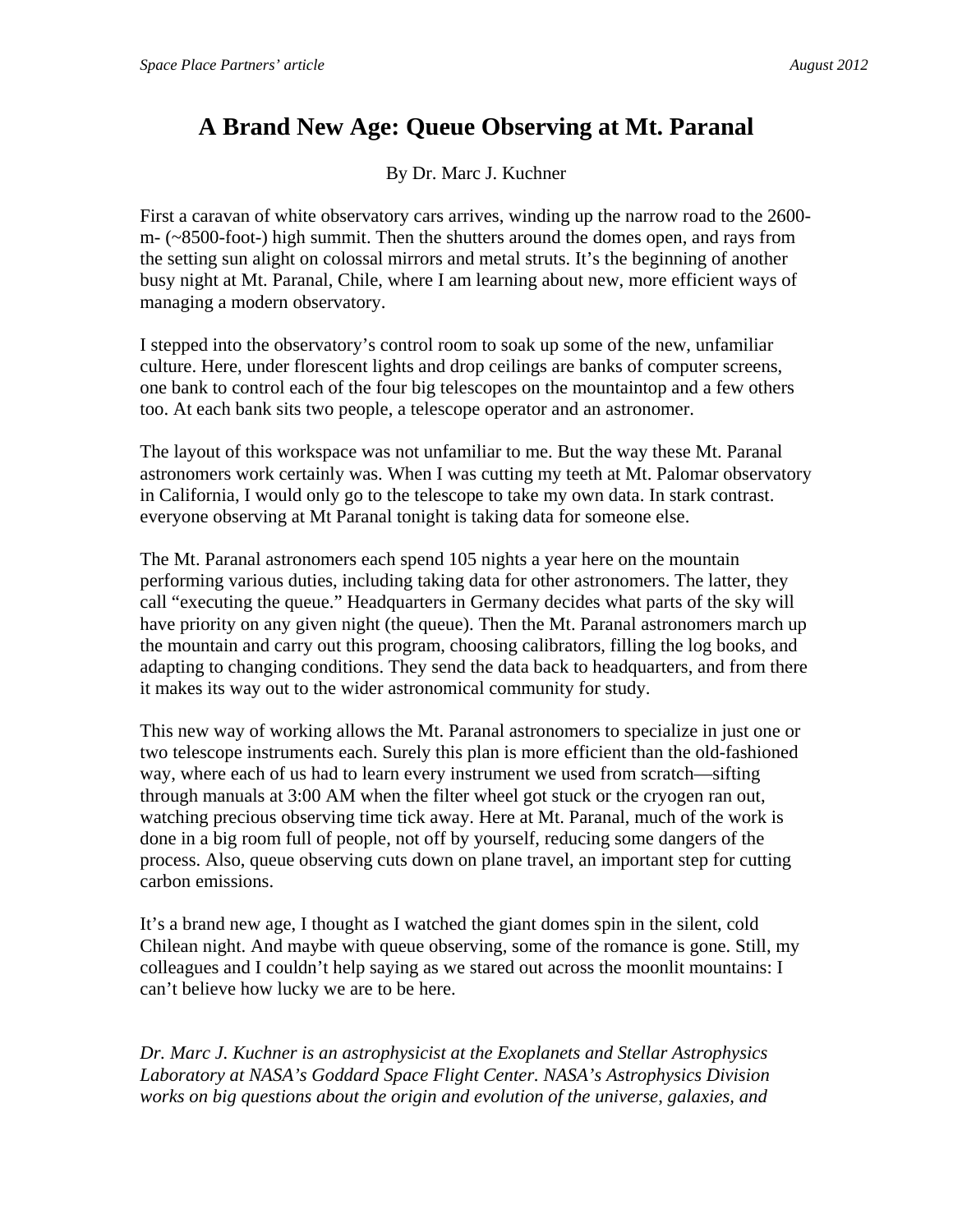## **A Brand New Age: Queue Observing at Mt. Paranal**

By Dr. Marc J. Kuchner

First a caravan of white observatory cars arrives, winding up the narrow road to the 2600 m- (~8500-foot-) high summit. Then the shutters around the domes open, and rays from the setting sun alight on colossal mirrors and metal struts. It's the beginning of another busy night at Mt. Paranal, Chile, where I am learning about new, more efficient ways of managing a modern observatory.

I stepped into the observatory's control room to soak up some of the new, unfamiliar culture. Here, under florescent lights and drop ceilings are banks of computer screens, one bank to control each of the four big telescopes on the mountaintop and a few others too. At each bank sits two people, a telescope operator and an astronomer.

The layout of this workspace was not unfamiliar to me. But the way these Mt. Paranal astronomers work certainly was. When I was cutting my teeth at Mt. Palomar observatory in California, I would only go to the telescope to take my own data. In stark contrast. everyone observing at Mt Paranal tonight is taking data for someone else.

The Mt. Paranal astronomers each spend 105 nights a year here on the mountain performing various duties, including taking data for other astronomers. The latter, they call "executing the queue." Headquarters in Germany decides what parts of the sky will have priority on any given night (the queue). Then the Mt. Paranal astronomers march up the mountain and carry out this program, choosing calibrators, filling the log books, and adapting to changing conditions. They send the data back to headquarters, and from there it makes its way out to the wider astronomical community for study.

This new way of working allows the Mt. Paranal astronomers to specialize in just one or two telescope instruments each. Surely this plan is more efficient than the old-fashioned way, where each of us had to learn every instrument we used from scratch—sifting through manuals at 3:00 AM when the filter wheel got stuck or the cryogen ran out, watching precious observing time tick away. Here at Mt. Paranal, much of the work is done in a big room full of people, not off by yourself, reducing some dangers of the process. Also, queue observing cuts down on plane travel, an important step for cutting carbon emissions.

It's a brand new age, I thought as I watched the giant domes spin in the silent, cold Chilean night. And maybe with queue observing, some of the romance is gone. Still, my colleagues and I couldn't help saying as we stared out across the moonlit mountains: I can't believe how lucky we are to be here.

*Dr. Marc J. Kuchner is an astrophysicist at the Exoplanets and Stellar Astrophysics Laboratory at NASA's Goddard Space Flight Center. NASA's Astrophysics Division works on big questions about the origin and evolution of the universe, galaxies, and*